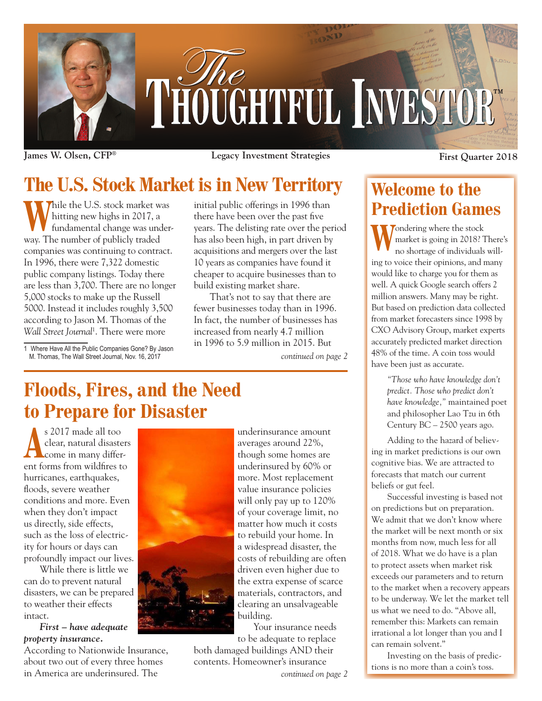

**James W. Olsen, CFP® Legacy Investment Strategies First Quarter 2018**

# **The U.S. Stock Market is in New Territory**

Thile the U.S. stock market was hitting new highs in 2017, a fundamental change was underway. The number of publicly traded companies was continuing to contract. In 1996, there were 7,322 domestic public company listings. Today there are less than 3,700. There are no longer 5,000 stocks to make up the Russell 5000. Instead it includes roughly 3,500 according to Jason M. Thomas of the *Wall Street Journal*<sup>1</sup> . There were more

1 Where Have All the Public Companies Gone? By Jason M. Thomas, The Wall Street Journal, Nov. 16, 2017

initial public offerings in 1996 than there have been over the past five years. The delisting rate over the period has also been high, in part driven by acquisitions and mergers over the last 10 years as companies have found it cheaper to acquire businesses than to build existing market share.

*continued on page 2* That's not to say that there are fewer businesses today than in 1996. In fact, the number of businesses has increased from nearly 4.7 million in 1996 to 5.9 million in 2015. But

## **Floods, Fires, and the Need to Prepare for Disaster**

s 2017 made all too clear, natural disaste clear, natural disasters come in many different forms from wildfires to hurricanes, earthquakes, floods, severe weather conditions and more. Even when they don't impact us directly, side effects, such as the loss of electricity for hours or days can profoundly impact our lives.

While there is little we can do to prevent natural disasters, we can be prepared to weather their effects intact.

*First – have adequate property insurance.*

According to Nationwide Insurance, about two out of every three homes in America are underinsured. The



underinsurance amount averages around 22%, though some homes are underinsured by 60% or more. Most replacement value insurance policies will only pay up to 120% of your coverage limit, no matter how much it costs to rebuild your home. In a widespread disaster, the costs of rebuilding are often driven even higher due to the extra expense of scarce materials, contractors, and clearing an unsalvageable building.

Your insurance needs to be adequate to replace

both damaged buildings AND their contents. Homeowner's insurance

*continued on page 2*

## **Welcome to the Prediction Games**

**W**ondering where the stock<br>market is going in 2018? T<br>no shortage of individuals market is going in 2018? There's no shortage of individuals willing to voice their opinions, and many would like to charge you for them as well. A quick Google search offers 2 million answers. Many may be right. But based on prediction data collected from market forecasters since 1998 by CXO Advisory Group, market experts accurately predicted market direction 48% of the time. A coin toss would have been just as accurate.

> *"Those who have knowledge don't predict. Those who predict don't have knowledge,"* maintained poet and philosopher Lao Tzu in 6th Century BC – 2500 years ago.

Adding to the hazard of believing in market predictions is our own cognitive bias. We are attracted to forecasts that match our current beliefs or gut feel.

Successful investing is based not on predictions but on preparation. We admit that we don't know where the market will be next month or six months from now, much less for all of 2018. What we do have is a plan to protect assets when market risk exceeds our parameters and to return to the market when a recovery appears to be underway. We let the market tell us what we need to do. "Above all, remember this: Markets can remain irrational a lot longer than you and I can remain solvent."

Investing on the basis of predictions is no more than a coin's toss.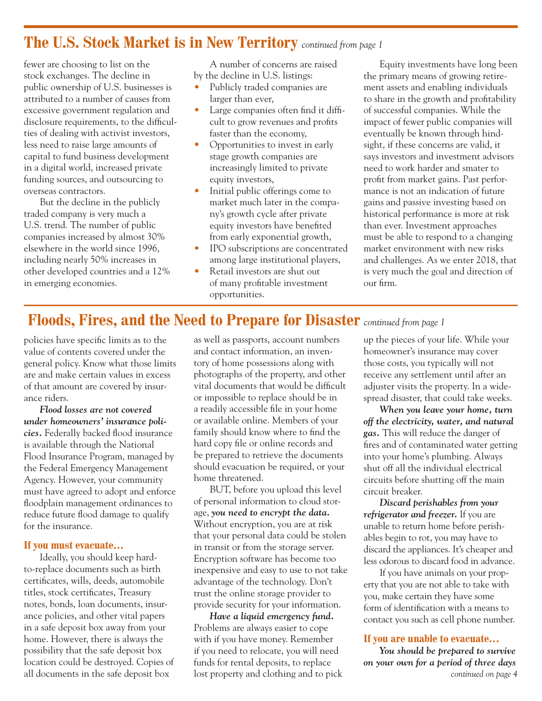### **The U.S. Stock Market is in New Territory** *continued from page 1*

fewer are choosing to list on the stock exchanges. The decline in public ownership of U.S. businesses is attributed to a number of causes from excessive government regulation and disclosure requirements, to the difficulties of dealing with activist investors, less need to raise large amounts of capital to fund business development in a digital world, increased private funding sources, and outsourcing to overseas contractors.

But the decline in the publicly traded company is very much a U.S. trend. The number of public companies increased by almost 30% elsewhere in the world since 1996, including nearly 50% increases in other developed countries and a 12% in emerging economies.

A number of concerns are raised by the decline in U.S. listings:

- Publicly traded companies are larger than ever,
- Large companies often find it difficult to grow revenues and profits faster than the economy,
- Opportunities to invest in early stage growth companies are increasingly limited to private equity investors,
- Initial public offerings come to market much later in the company's growth cycle after private equity investors have benefited from early exponential growth,
- IPO subscriptions are concentrated among large institutional players,
- Retail investors are shut out of many profitable investment opportunities.

Equity investments have long been the primary means of growing retirement assets and enabling individuals to share in the growth and profitability of successful companies. While the impact of fewer public companies will eventually be known through hindsight, if these concerns are valid, it says investors and investment advisors need to work harder and smater to profit from market gains. Past performance is not an indication of future gains and passive investing based on historical performance is more at risk than ever. Investment approaches must be able to respond to a changing market environment with new risks and challenges. As we enter 2018, that is very much the goal and direction of our firm.

### **Floods, Fires, and the Need to Prepare for Disaster** *continued from page 1*

policies have specific limits as to the value of contents covered under the general policy. Know what those limits are and make certain values in excess of that amount are covered by insurance riders.

*Flood losses are not covered under homeowners' insurance policies.* Federally backed flood insurance is available through the National Flood Insurance Program, managed by the Federal Emergency Management Agency. However, your community must have agreed to adopt and enforce floodplain management ordinances to reduce future flood damage to qualify for the insurance.

#### **If you must evacuate…**

Ideally, you should keep hardto-replace documents such as birth certificates, wills, deeds, automobile titles, stock certificates, Treasury notes, bonds, loan documents, insurance policies, and other vital papers in a safe deposit box away from your home. However, there is always the possibility that the safe deposit box location could be destroyed. Copies of all documents in the safe deposit box

as well as passports, account numbers and contact information, an inventory of home possessions along with photographs of the property, and other vital documents that would be difficult or impossible to replace should be in a readily accessible file in your home or available online. Members of your family should know where to find the hard copy file or online records and be prepared to retrieve the documents should evacuation be required, or your home threatened.

BUT, before you upload this level of personal information to cloud storage, *you need to encrypt the data.* Without encryption, you are at risk that your personal data could be stolen in transit or from the storage server. Encryption software has become too inexpensive and easy to use to not take advantage of the technology. Don't trust the online storage provider to provide security for your information.

*Have a liquid emergency fund.* Problems are always easier to cope with if you have money. Remember if you need to relocate, you will need funds for rental deposits, to replace lost property and clothing and to pick up the pieces of your life. While your homeowner's insurance may cover those costs, you typically will not receive any settlement until after an adjuster visits the property. In a widespread disaster, that could take weeks.

*When you leave your home, turn off the electricity, water, and natural gas.* This will reduce the danger of fires and of contaminated water getting into your home's plumbing. Always shut off all the individual electrical circuits before shutting off the main circuit breaker.

*Discard perishables from your refrigerator and freezer.* If you are unable to return home before perishables begin to rot, you may have to discard the appliances. It's cheaper and less odorous to discard food in advance.

If you have animals on your property that you are not able to take with you, make certain they have some form of identification with a means to contact you such as cell phone number.

#### **If you are unable to evacuate…**

*You should be prepared to survive on your own for a period of three days continued on page 4*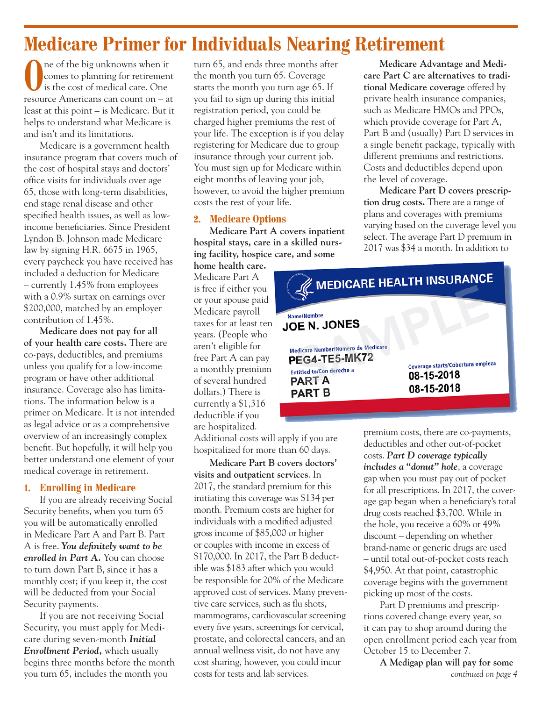## **Medicare Primer for Individuals Nearing Retirement**

The of the big unknowns when it comes to planning for retirement is the cost of medical care. One comes to planning for retirement is the cost of medical care. One resource Americans can count on – at least at this point – is Medicare. But it helps to understand what Medicare is and isn't and its limitations.

Medicare is a government health insurance program that covers much of the cost of hospital stays and doctors' office visits for individuals over age 65, those with long-term disabilities, end stage renal disease and other specified health issues, as well as lowincome beneficiaries. Since President Lyndon B. Johnson made Medicare law by signing H.R. 6675 in 1965, every paycheck you have received has included a deduction for Medicare – currently 1.45% from employees with a 0.9% surtax on earnings over \$200,000, matched by an employer contribution of 1.45%.

**Medicare does not pay for all of your health care costs.** There are co-pays, deductibles, and premiums unless you qualify for a low-income program or have other additional insurance. Coverage also has limitations. The information below is a primer on Medicare. It is not intended as legal advice or as a comprehensive overview of an increasingly complex benefit. But hopefully, it will help you better understand one element of your medical coverage in retirement.

#### **1. Enrolling in Medicare**

If you are already receiving Social Security benefits, when you turn 65 you will be automatically enrolled in Medicare Part A and Part B. Part A is free. *You definitely want to be enrolled in Part A.* You can choose to turn down Part B, since it has a monthly cost; if you keep it, the cost will be deducted from your Social Security payments.

If you are not receiving Social Security, you must apply for Medicare during seven-month *Initial Enrollment Period,* which usually begins three months before the month you turn 65, includes the month you

turn 65, and ends three months after the month you turn 65. Coverage starts the month you turn age 65. If you fail to sign up during this initial registration period, you could be charged higher premiums the rest of your life. The exception is if you delay registering for Medicare due to group insurance through your current job. You must sign up for Medicare within eight months of leaving your job, however, to avoid the higher premium costs the rest of your life.

#### **2. Medicare Options**

**Medicare Part A covers inpatient hospital stays, care in a skilled nursing facility, hospice care, and some** 

**home health care.** Medicare Part A is free if either you or your spouse paid Medicare payroll taxes for at least ten years. (People who aren't eligible for free Part A can pay a monthly premium of several hundred dollars.) There is currently a \$1,316 deductible if you are hospitalized.

Additional costs will apply if you are hospitalized for more than 60 days.

**Medicare Part B covers doctors' visits and outpatient services**. In 2017, the standard premium for this initiating this coverage was \$134 per month. Premium costs are higher for individuals with a modified adjusted gross income of \$85,000 or higher or couples with income in excess of \$170,000. In 2017, the Part B deductible was \$183 after which you would be responsible for 20% of the Medicare approved cost of services. Many preventive care services, such as flu shots, mammograms, cardiovascular screening every five years, screenings for cervical, prostate, and colorectal cancers, and an annual wellness visit, do not have any cost sharing, however, you could incur costs for tests and lab services.

**Medicare Advantage and Medicare Part C are alternatives to traditional Medicare coverage** offered by private health insurance companies, such as Medicare HMOs and PPOs, which provide coverage for Part A, Part B and (usually) Part D services in a single benefit package, typically with different premiums and restrictions. Costs and deductibles depend upon the level of coverage.

**Medicare Part D covers prescription drug costs.** There are a range of plans and coverages with premiums varying based on the coverage level you select. The average Part D premium in 2017 was \$34 a month. In addition to



premium costs, there are co-payments, deductibles and other out-of-pocket costs. *Part D coverage typically includes a "donut" hole*, a coverage gap when you must pay out of pocket for all prescriptions. In 2017, the coverage gap began when a beneficiary's total drug costs reached \$3,700. While in the hole, you receive a 60% or 49% discount – depending on whether brand-name or generic drugs are used – until total out-of-pocket costs reach \$4,950. At that point, catastrophic coverage begins with the government picking up most of the costs.

Part D premiums and prescriptions covered change every year, so it can pay to shop around during the open enrollment period each year from October 15 to December 7.

**A Medigap plan will pay for some**  *continued on page 4*